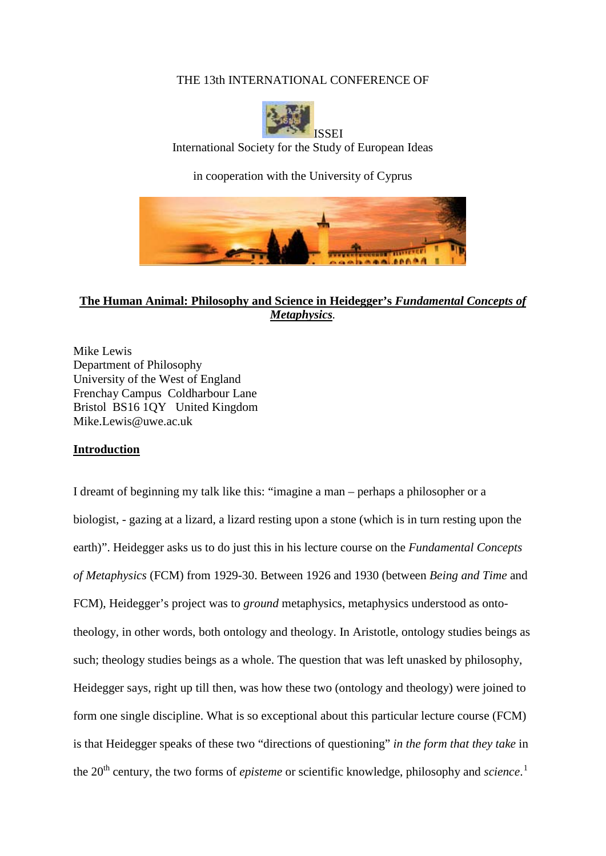### THE 13th INTERNATIONAL CONFERENCE OF



International Society for the Study of European Ideas

in cooperation with the University of Cyprus



# **The Human Animal: Philosophy and Science in Heidegger's** *Fundamental Concepts of Metaphysics.*

Mike Lewis Department of Philosophy University of the West of England Frenchay Campus Coldharbour Lane Bristol BS16 1QY United Kingdom Mike.Lewis@uwe.ac.uk

## **Introduction**

I dreamt of beginning my talk like this: "imagine a man – perhaps a philosopher or a biologist, - gazing at a lizard, a lizard resting upon a stone (which is in turn resting upon the earth)". Heidegger asks us to do just this in his lecture course on the *Fundamental Concepts of Metaphysics* (FCM) from 1929-30. Between 1926 and 1930 (between *Being and Time* and FCM), Heidegger's project was to *ground* metaphysics, metaphysics understood as ontotheology, in other words, both ontology and theology. In Aristotle, ontology studies beings as such; theology studies beings as a whole. The question that was left unasked by philosophy, Heidegger says, right up till then, was how these two (ontology and theology) were joined to form one single discipline. What is so exceptional about this particular lecture course (FCM) is that Heidegger speaks of these two "directions of questioning" *in the form that they take* in the 20<sup>th</sup> century, the two forms of *episteme* or scientific knowledge, philosophy and *science*.<sup>[1](#page-10-0)</sup>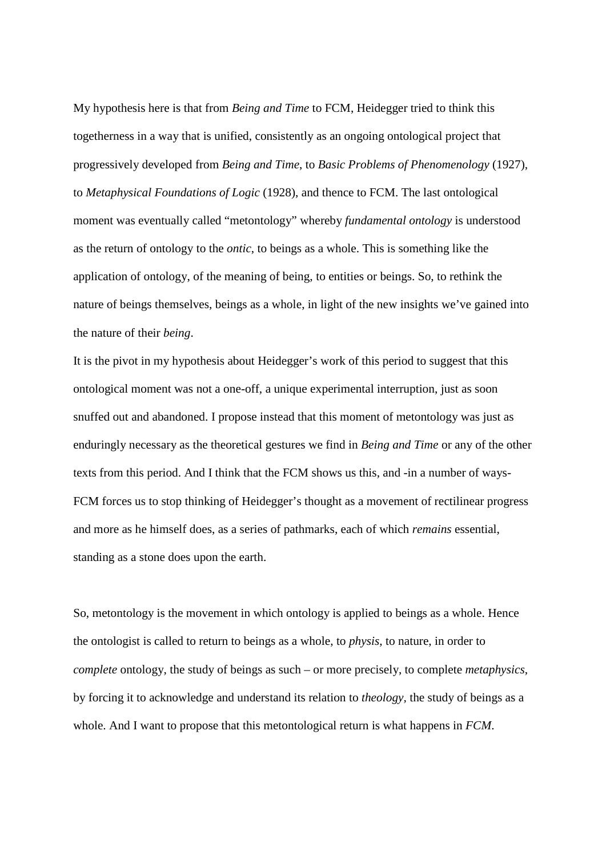My hypothesis here is that from *Being and Time* to FCM, Heidegger tried to think this togetherness in a way that is unified, consistently as an ongoing ontological project that progressively developed from *Being and Time*, to *Basic Problems of Phenomenology* (1927), to *Metaphysical Foundations of Logic* (1928), and thence to FCM. The last ontological moment was eventually called "metontology" whereby *fundamental ontology* is understood as the return of ontology to the *ontic*, to beings as a whole. This is something like the application of ontology, of the meaning of being, to entities or beings. So, to rethink the nature of beings themselves, beings as a whole, in light of the new insights we've gained into the nature of their *being*.

It is the pivot in my hypothesis about Heidegger's work of this period to suggest that this ontological moment was not a one-off, a unique experimental interruption, just as soon snuffed out and abandoned. I propose instead that this moment of metontology was just as enduringly necessary as the theoretical gestures we find in *Being and Time* or any of the other texts from this period. And I think that the FCM shows us this, and -in a number of ways-FCM forces us to stop thinking of Heidegger's thought as a movement of rectilinear progress and more as he himself does, as a series of pathmarks, each of which *remains* essential, standing as a stone does upon the earth.

So, metontology is the movement in which ontology is applied to beings as a whole. Hence the ontologist is called to return to beings as a whole, to *physis*, to nature, in order to *complete* ontology, the study of beings as such – or more precisely, to complete *metaphysics*, by forcing it to acknowledge and understand its relation to *theology,* the study of beings as a whole. And I want to propose that this metontological return is what happens in *FCM*.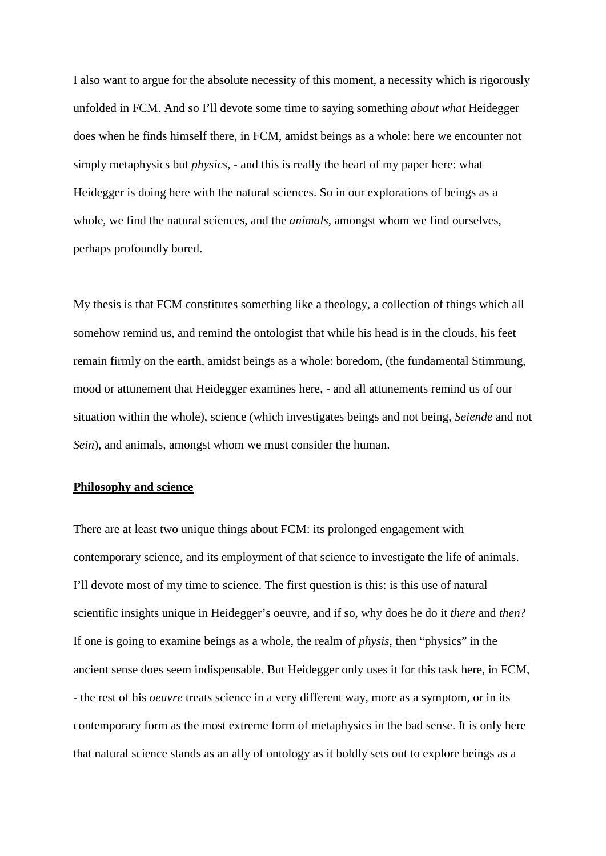I also want to argue for the absolute necessity of this moment, a necessity which is rigorously unfolded in FCM. And so I'll devote some time to saying something *about what* Heidegger does when he finds himself there, in FCM, amidst beings as a whole: here we encounter not simply metaphysics but *physics*, - and this is really the heart of my paper here: what Heidegger is doing here with the natural sciences. So in our explorations of beings as a whole, we find the natural sciences, and the *animals*, amongst whom we find ourselves, perhaps profoundly bored.

My thesis is that FCM constitutes something like a theology, a collection of things which all somehow remind us, and remind the ontologist that while his head is in the clouds, his feet remain firmly on the earth, amidst beings as a whole: boredom, (the fundamental Stimmung, mood or attunement that Heidegger examines here, - and all attunements remind us of our situation within the whole), science (which investigates beings and not being, *Seiende* and not *Sein*), and animals, amongst whom we must consider the human.

#### **Philosophy and science**

There are at least two unique things about FCM: its prolonged engagement with contemporary science, and its employment of that science to investigate the life of animals. I'll devote most of my time to science. The first question is this: is this use of natural scientific insights unique in Heidegger's oeuvre, and if so, why does he do it *there* and *then*? If one is going to examine beings as a whole, the realm of *physis*, then "physics" in the ancient sense does seem indispensable. But Heidegger only uses it for this task here, in FCM, - the rest of his *oeuvre* treats science in a very different way, more as a symptom, or in its contemporary form as the most extreme form of metaphysics in the bad sense. It is only here that natural science stands as an ally of ontology as it boldly sets out to explore beings as a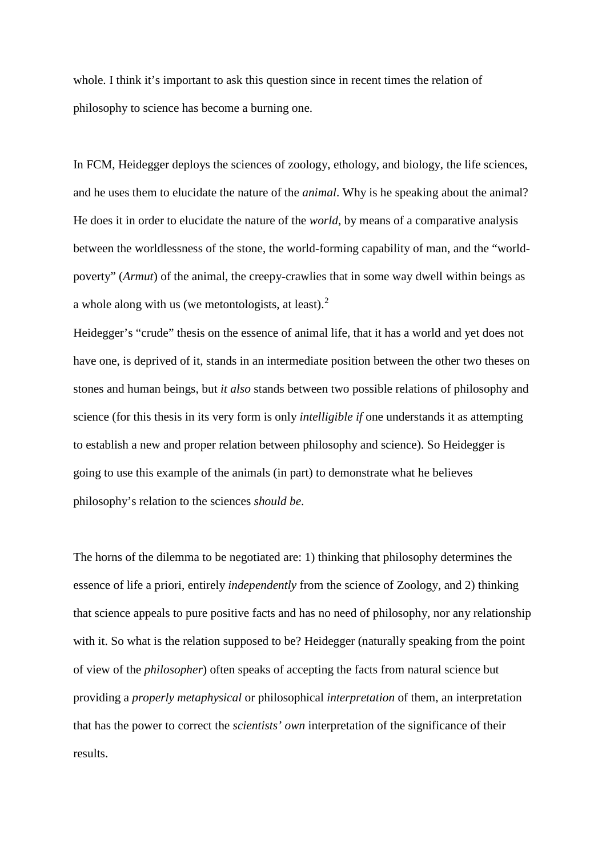whole. I think it's important to ask this question since in recent times the relation of philosophy to science has become a burning one.

In FCM, Heidegger deploys the sciences of zoology, ethology, and biology, the life sciences, and he uses them to elucidate the nature of the *animal*. Why is he speaking about the animal? He does it in order to elucidate the nature of the *world*, by means of a comparative analysis between the worldlessness of the stone, the world-forming capability of man, and the "worldpoverty" (*Armut*) of the animal, the creepy-crawlies that in some way dwell within beings as a whole along with us (we metontologists, at least). $2^2$  $2^2$ 

Heidegger's "crude" thesis on the essence of animal life, that it has a world and yet does not have one, is deprived of it, stands in an intermediate position between the other two theses on stones and human beings, but *it also* stands between two possible relations of philosophy and science (for this thesis in its very form is only *intelligible if* one understands it as attempting to establish a new and proper relation between philosophy and science). So Heidegger is going to use this example of the animals (in part) to demonstrate what he believes philosophy's relation to the sciences *should be*.

The horns of the dilemma to be negotiated are: 1) thinking that philosophy determines the essence of life a priori, entirely *independently* from the science of Zoology, and 2) thinking that science appeals to pure positive facts and has no need of philosophy, nor any relationship with it. So what is the relation supposed to be? Heidegger (naturally speaking from the point of view of the *philosopher*) often speaks of accepting the facts from natural science but providing a *properly metaphysical* or philosophical *interpretation* of them, an interpretation that has the power to correct the *scientists' own* interpretation of the significance of their results.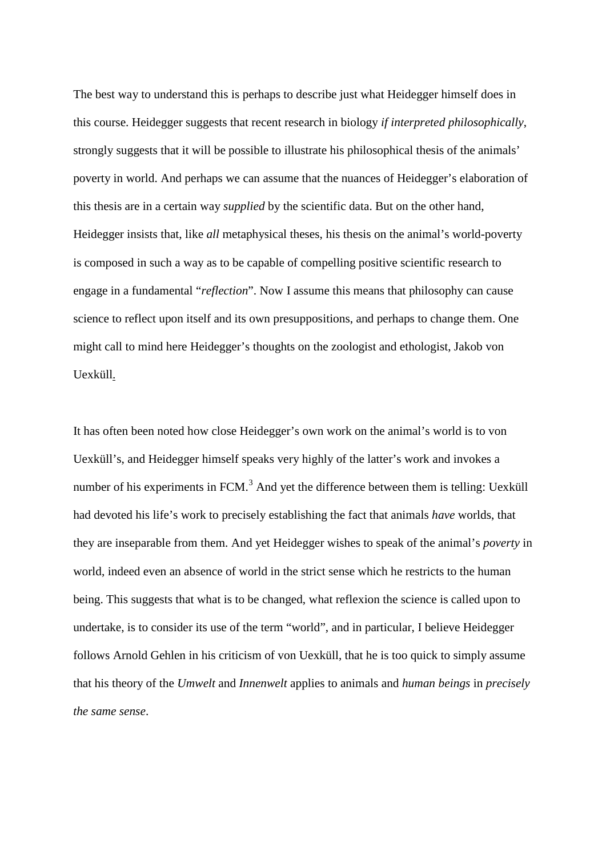The best way to understand this is perhaps to describe just what Heidegger himself does in this course. Heidegger suggests that recent research in biology *if interpreted philosophically*, strongly suggests that it will be possible to illustrate his philosophical thesis of the animals' poverty in world. And perhaps we can assume that the nuances of Heidegger's elaboration of this thesis are in a certain way *supplied* by the scientific data. But on the other hand, Heidegger insists that, like *all* metaphysical theses, his thesis on the animal's world-poverty is composed in such a way as to be capable of compelling positive scientific research to engage in a fundamental "*reflection*". Now I assume this means that philosophy can cause science to reflect upon itself and its own presuppositions, and perhaps to change them. One might call to mind here Heidegger's thoughts on the zoologist and ethologist, Jakob von Uexküll.

It has often been noted how close Heidegger's own work on the animal's world is to von Uexküll's, and Heidegger himself speaks very highly of the latter's work and invokes a number of his experiments in  $FCM<sup>3</sup>$  $FCM<sup>3</sup>$  $FCM<sup>3</sup>$ . And yet the difference between them is telling: Uexküll had devoted his life's work to precisely establishing the fact that animals *have* worlds, that they are inseparable from them. And yet Heidegger wishes to speak of the animal's *poverty* in world, indeed even an absence of world in the strict sense which he restricts to the human being. This suggests that what is to be changed, what reflexion the science is called upon to undertake, is to consider its use of the term "world", and in particular, I believe Heidegger follows Arnold Gehlen in his criticism of von Uexküll, that he is too quick to simply assume that his theory of the *Umwelt* and *Innenwelt* applies to animals and *human beings* in *precisely the same sense*.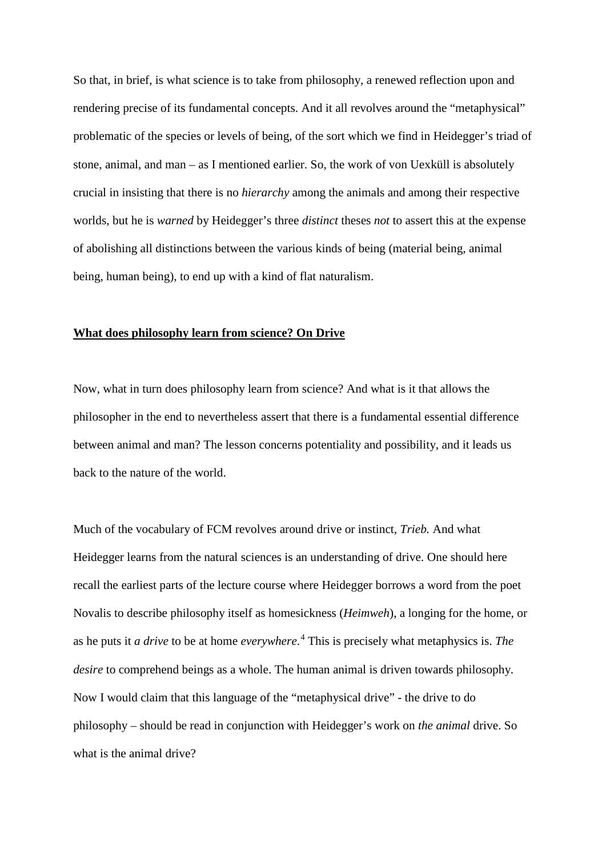So that, in brief, is what science is to take from philosophy, a renewed reflection upon and rendering precise of its fundamental concepts. And it all revolves around the "metaphysical" problematic of the species or levels of being, of the sort which we find in Heidegger's triad of stone, animal, and man – as I mentioned earlier. So, the work of von Uexküll is absolutely crucial in insisting that there is no *hierarchy* among the animals and among their respective worlds, but he is *warned* by Heidegger's three *distinct* theses *not* to assert this at the expense of abolishing all distinctions between the various kinds of being (material being, animal being, human being), to end up with a kind of flat naturalism.

#### **What does philosophy learn from science? On Drive**

Now, what in turn does philosophy learn from science? And what is it that allows the philosopher in the end to nevertheless assert that there is a fundamental essential difference between animal and man? The lesson concerns potentiality and possibility, and it leads us back to the nature of the world.

Much of the vocabulary of FCM revolves around drive or instinct, *Trieb.* And what Heidegger learns from the natural sciences is an understanding of drive. One should here recall the earliest parts of the lecture course where Heidegger borrows a word from the poet Novalis to describe philosophy itself as homesickness (*Heimweh*), a longing for the home, or as he puts it *a drive* to be at home *everywhere*. [4](#page-10-3) This is precisely what metaphysics is. *The desire* to comprehend beings as a whole. The human animal is driven towards philosophy. Now I would claim that this language of the "metaphysical drive" - the drive to do philosophy – should be read in conjunction with Heidegger's work on *the animal* drive. So what is the animal drive?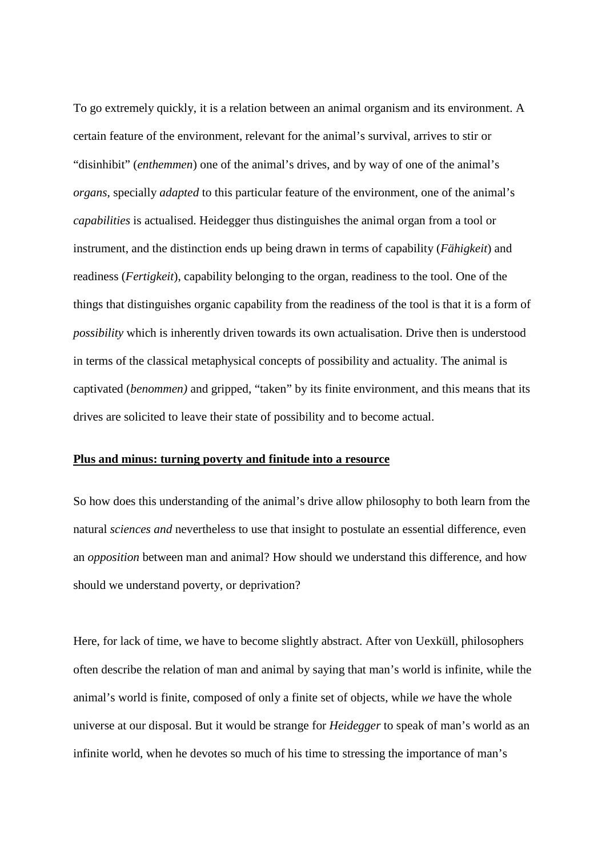To go extremely quickly, it is a relation between an animal organism and its environment. A certain feature of the environment, relevant for the animal's survival, arrives to stir or "disinhibit" (*enthemmen*) one of the animal's drives, and by way of one of the animal's *organs*, specially *adapted* to this particular feature of the environment, one of the animal's *capabilities* is actualised. Heidegger thus distinguishes the animal organ from a tool or instrument, and the distinction ends up being drawn in terms of capability (*Fähigkeit*) and readiness (*Fertigkeit*), capability belonging to the organ, readiness to the tool. One of the things that distinguishes organic capability from the readiness of the tool is that it is a form of *possibility* which is inherently driven towards its own actualisation. Drive then is understood in terms of the classical metaphysical concepts of possibility and actuality. The animal is captivated (*benommen)* and gripped, "taken" by its finite environment, and this means that its drives are solicited to leave their state of possibility and to become actual.

#### **Plus and minus: turning poverty and finitude into a resource**

So how does this understanding of the animal's drive allow philosophy to both learn from the natural *sciences and* nevertheless to use that insight to postulate an essential difference, even an *opposition* between man and animal? How should we understand this difference, and how should we understand poverty, or deprivation?

Here, for lack of time, we have to become slightly abstract. After von Uexküll, philosophers often describe the relation of man and animal by saying that man's world is infinite, while the animal's world is finite, composed of only a finite set of objects, while *we* have the whole universe at our disposal. But it would be strange for *Heidegger* to speak of man's world as an infinite world, when he devotes so much of his time to stressing the importance of man's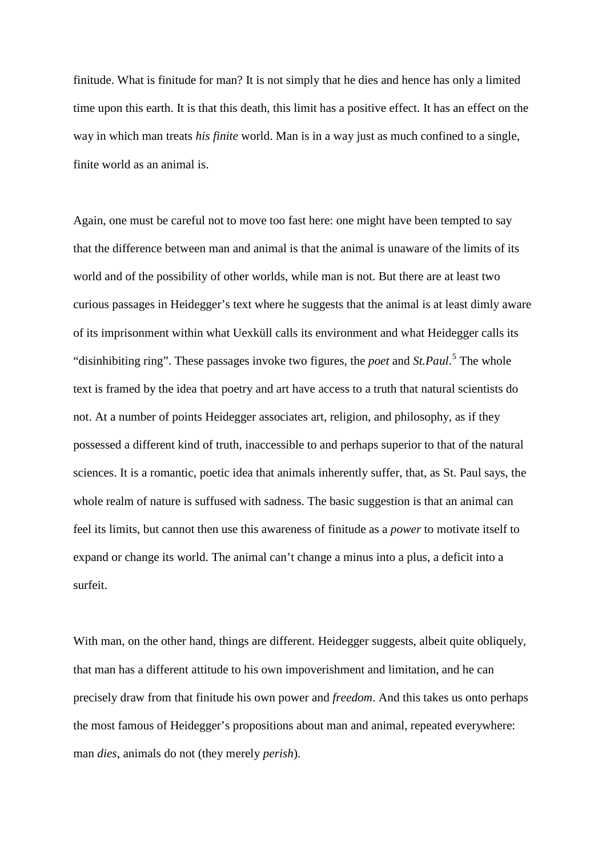finitude. What is finitude for man? It is not simply that he dies and hence has only a limited time upon this earth. It is that this death, this limit has a positive effect. It has an effect on the way in which man treats *his finite* world. Man is in a way just as much confined to a single, finite world as an animal is.

Again, one must be careful not to move too fast here: one might have been tempted to say that the difference between man and animal is that the animal is unaware of the limits of its world and of the possibility of other worlds, while man is not. But there are at least two curious passages in Heidegger's text where he suggests that the animal is at least dimly aware of its imprisonment within what Uexküll calls its environment and what Heidegger calls its "disinhibiting ring". These passages invoke two figures, the *poet* and *St.Paul*. [5](#page-10-4) The whole text is framed by the idea that poetry and art have access to a truth that natural scientists do not. At a number of points Heidegger associates art, religion, and philosophy, as if they possessed a different kind of truth, inaccessible to and perhaps superior to that of the natural sciences. It is a romantic, poetic idea that animals inherently suffer, that, as St. Paul says, the whole realm of nature is suffused with sadness. The basic suggestion is that an animal can feel its limits, but cannot then use this awareness of finitude as a *power* to motivate itself to expand or change its world. The animal can't change a minus into a plus, a deficit into a surfeit.

With man, on the other hand, things are different. Heidegger suggests, albeit quite obliquely, that man has a different attitude to his own impoverishment and limitation, and he can precisely draw from that finitude his own power and *freedom*. And this takes us onto perhaps the most famous of Heidegger's propositions about man and animal, repeated everywhere: man *dies*, animals do not (they merely *perish*).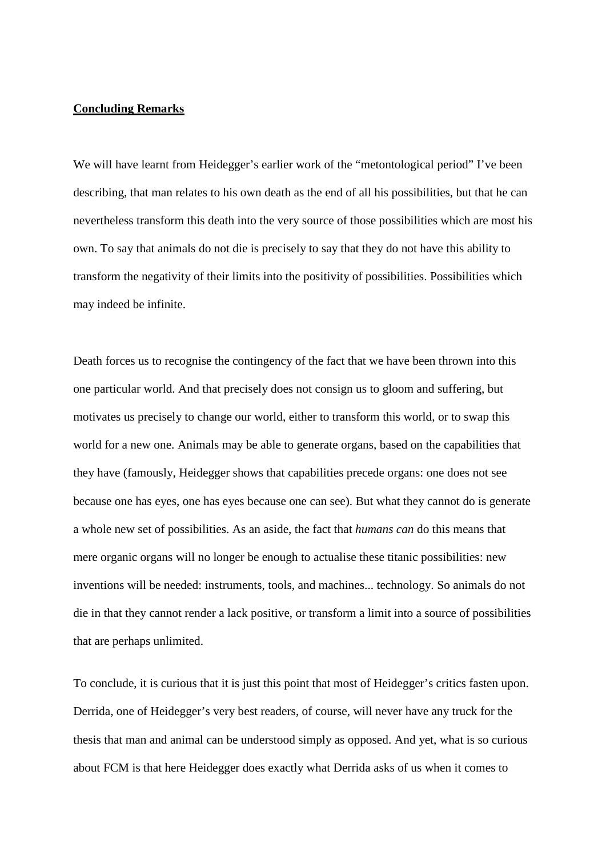#### **Concluding Remarks**

We will have learnt from Heidegger's earlier work of the "metontological period" I've been describing, that man relates to his own death as the end of all his possibilities, but that he can nevertheless transform this death into the very source of those possibilities which are most his own. To say that animals do not die is precisely to say that they do not have this ability to transform the negativity of their limits into the positivity of possibilities. Possibilities which may indeed be infinite.

Death forces us to recognise the contingency of the fact that we have been thrown into this one particular world. And that precisely does not consign us to gloom and suffering, but motivates us precisely to change our world, either to transform this world, or to swap this world for a new one. Animals may be able to generate organs, based on the capabilities that they have (famously, Heidegger shows that capabilities precede organs: one does not see because one has eyes, one has eyes because one can see). But what they cannot do is generate a whole new set of possibilities. As an aside, the fact that *humans can* do this means that mere organic organs will no longer be enough to actualise these titanic possibilities: new inventions will be needed: instruments, tools, and machines... technology. So animals do not die in that they cannot render a lack positive, or transform a limit into a source of possibilities that are perhaps unlimited.

To conclude, it is curious that it is just this point that most of Heidegger's critics fasten upon. Derrida, one of Heidegger's very best readers, of course, will never have any truck for the thesis that man and animal can be understood simply as opposed. And yet, what is so curious about FCM is that here Heidegger does exactly what Derrida asks of us when it comes to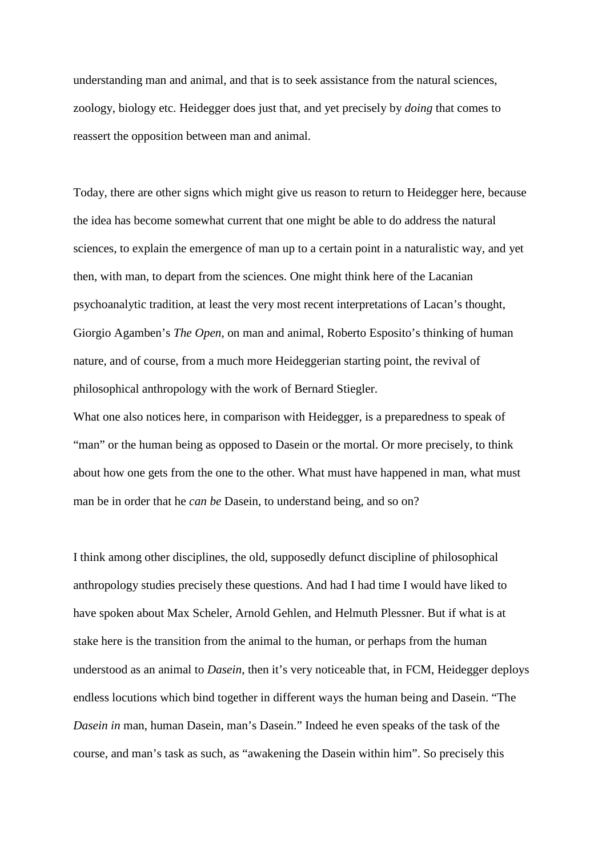understanding man and animal, and that is to seek assistance from the natural sciences, zoology, biology etc. Heidegger does just that, and yet precisely by *doing* that comes to reassert the opposition between man and animal.

Today, there are other signs which might give us reason to return to Heidegger here, because the idea has become somewhat current that one might be able to do address the natural sciences, to explain the emergence of man up to a certain point in a naturalistic way, and yet then, with man, to depart from the sciences. One might think here of the Lacanian psychoanalytic tradition, at least the very most recent interpretations of Lacan's thought, Giorgio Agamben's *The Open,* on man and animal, Roberto Esposito's thinking of human nature, and of course, from a much more Heideggerian starting point, the revival of philosophical anthropology with the work of Bernard Stiegler.

What one also notices here, in comparison with Heidegger, is a preparedness to speak of "man" or the human being as opposed to Dasein or the mortal. Or more precisely, to think about how one gets from the one to the other. What must have happened in man, what must man be in order that he *can be* Dasein, to understand being, and so on?

I think among other disciplines, the old, supposedly defunct discipline of philosophical anthropology studies precisely these questions. And had I had time I would have liked to have spoken about Max Scheler, Arnold Gehlen, and Helmuth Plessner. But if what is at stake here is the transition from the animal to the human, or perhaps from the human understood as an animal to *Dasein*, then it's very noticeable that, in FCM, Heidegger deploys endless locutions which bind together in different ways the human being and Dasein. "The *Dasein in* man, human Dasein, man's Dasein." Indeed he even speaks of the task of the course, and man's task as such, as "awakening the Dasein within him". So precisely this